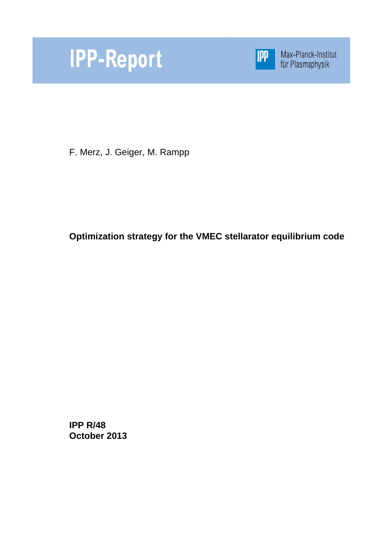



Max-Planck-Institut<br>für Plasmaphysik

F. Merz, J. Geiger, M. Rampp

**Optimization strategy for the VMEC stellarator equilibrium code** 

**IPP R/48 October 2013**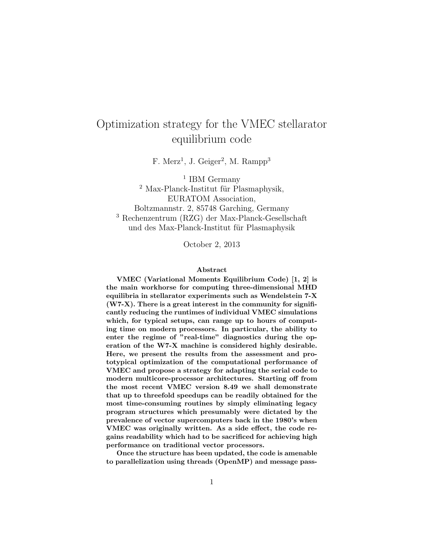# Optimization strategy for the VMEC stellarator equilibrium code

 $F.$  Merz<sup>1</sup>, J. Geiger<sup>2</sup>, M. Rampp<sup>3</sup>

<sup>1</sup> IBM Germany  $2$  Max-Planck-Institut für Plasmaphysik, EURATOM Association, Boltzmannstr. 2, 85748 Garching, Germany <sup>3</sup> Rechenzentrum (RZG) der Max-Planck-Gesellschaft und des Max-Planck-Institut für Plasmaphysik

October 2, 2013

#### Abstract

VMEC (Variational Moments Equilibrium Code) [1, 2] is the main workhorse for computing three-dimensional MHD equilibria in stellarator experiments such as Wendelstein 7-X  $(W7-X)$ . There is a great interest in the community for significantly reducing the runtimes of individual VMEC simulations which, for typical setups, can range up to hours of computing time on modern processors. In particular, the ability to enter the regime of "real-time" diagnostics during the operation of the W7-X machine is considered highly desirable. Here, we present the results from the assessment and prototypical optimization of the computational performance of VMEC and propose a strategy for adapting the serial code to modern multicore-processor architectures. Starting off from the most recent VMEC version 8.49 we shall demonstrate that up to threefold speedups can be readily obtained for the most time-consuming routines by simply eliminating legacy program structures which presumably were dictated by the prevalence of vector supercomputers back in the 1980's when VMEC was originally written. As a side effect, the code regains readability which had to be sacrificed for achieving high performance on traditional vector processors.

Once the structure has been updated, the code is amenable to parallelization using threads (OpenMP) and message pass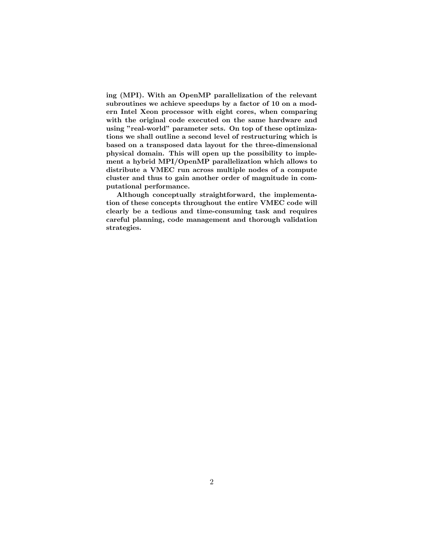ing (MPI). With an OpenMP parallelization of the relevant subroutines we achieve speedups by a factor of 10 on a modern Intel Xeon processor with eight cores, when comparing with the original code executed on the same hardware and using "real-world" parameter sets. On top of these optimizations we shall outline a second level of restructuring which is based on a transposed data layout for the three-dimensional physical domain. This will open up the possibility to implement a hybrid MPI/OpenMP parallelization which allows to distribute a VMEC run across multiple nodes of a compute cluster and thus to gain another order of magnitude in computational performance.

Although conceptually straightforward, the implementation of these concepts throughout the entire VMEC code will clearly be a tedious and time-consuming task and requires careful planning, code management and thorough validation strategies.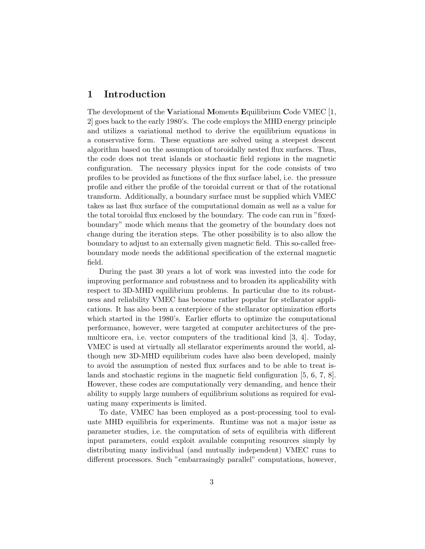### 1 Introduction

The development of the Variational Moments Equilibrium Code VMEC [1, 2] goes back to the early 1980's. The code employs the MHD energy principle and utilizes a variational method to derive the equilibrium equations in a conservative form. These equations are solved using a steepest descent algorithm based on the assumption of toroidally nested flux surfaces. Thus, the code does not treat islands or stochastic field regions in the magnetic configuration. The necessary physics input for the code consists of two profiles to be provided as functions of the flux surface label, i.e. the pressure profile and either the profile of the toroidal current or that of the rotational transform. Additionally, a boundary surface must be supplied which VMEC takes as last flux surface of the computational domain as well as a value for the total toroidal flux enclosed by the boundary. The code can run in "fixedboundary" mode which means that the geometry of the boundary does not change during the iteration steps. The other possibility is to also allow the boundary to adjust to an externally given magnetic field. This so-called freeboundary mode needs the additional specification of the external magnetic field.

During the past 30 years a lot of work was invested into the code for improving performance and robustness and to broaden its applicability with respect to 3D-MHD equilibrium problems. In particular due to its robustness and reliability VMEC has become rather popular for stellarator applications. It has also been a centerpiece of the stellarator optimization efforts which started in the 1980's. Earlier efforts to optimize the computational performance, however, were targeted at computer architectures of the premulticore era, i.e. vector computers of the traditional kind [3, 4]. Today, VMEC is used at virtually all stellarator experiments around the world, although new 3D-MHD equilibrium codes have also been developed, mainly to avoid the assumption of nested flux surfaces and to be able to treat islands and stochastic regions in the magnetic field configuration [5, 6, 7, 8]. However, these codes are computationally very demanding, and hence their ability to supply large numbers of equilibrium solutions as required for evaluating many experiments is limited.

To date, VMEC has been employed as a post-processing tool to evaluate MHD equilibria for experiments. Runtime was not a major issue as parameter studies, i.e. the computation of sets of equilibria with different input parameters, could exploit available computing resources simply by distributing many individual (and mutually independent) VMEC runs to different processors. Such "embarrasingly parallel" computations, however,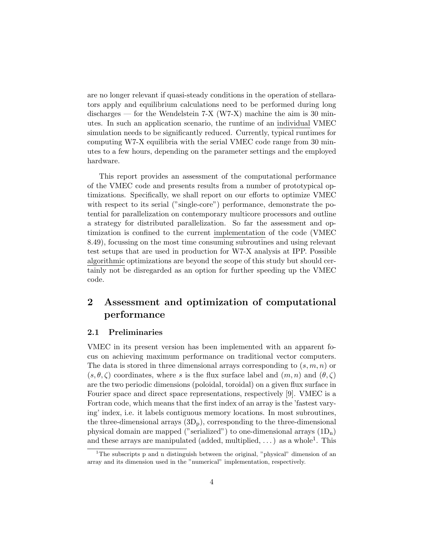are no longer relevant if quasi-steady conditions in the operation of stellarators apply and equilibrium calculations need to be performed during long discharges — for the Wendelstein  $7-X$  (W7-X) machine the aim is 30 minutes. In such an application scenario, the runtime of an individual VMEC simulation needs to be significantly reduced. Currently, typical runtimes for computing W7-X equilibria with the serial VMEC code range from 30 minutes to a few hours, depending on the parameter settings and the employed hardware.

This report provides an assessment of the computational performance of the VMEC code and presents results from a number of prototypical optimizations. Specifically, we shall report on our efforts to optimize VMEC with respect to its serial ("single-core") performance, demonstrate the potential for parallelization on contemporary multicore processors and outline a strategy for distributed parallelization. So far the assessment and optimization is confined to the current implementation of the code (VMEC 8.49), focussing on the most time consuming subroutines and using relevant test setups that are used in production for W7-X analysis at IPP. Possible algorithmic optimizations are beyond the scope of this study but should certainly not be disregarded as an option for further speeding up the VMEC code.

## 2 Assessment and optimization of computational performance

#### 2.1 Preliminaries

VMEC in its present version has been implemented with an apparent focus on achieving maximum performance on traditional vector computers. The data is stored in three dimensional arrays corresponding to  $(s, m, n)$  or  $(s, \theta, \zeta)$  coordinates, where s is the flux surface label and  $(m, n)$  and  $(\theta, \zeta)$ are the two periodic dimensions (poloidal, toroidal) on a given flux surface in Fourier space and direct space representations, respectively [9]. VMEC is a Fortran code, which means that the first index of an array is the 'fastest varying' index, i.e. it labels contiguous memory locations. In most subroutines, the three-dimensional arrays  $(3D_p)$ , corresponding to the three-dimensional physical domain are mapped ("serialized") to one-dimensional arrays  $(1D_n)$ and these arrays are manipulated (added, multiplied, ...) as a whole<sup>1</sup>. This

<sup>&</sup>lt;sup>1</sup>The subscripts p and n distinguish between the original, "physical" dimension of an array and its dimension used in the "numerical" implementation, respectively.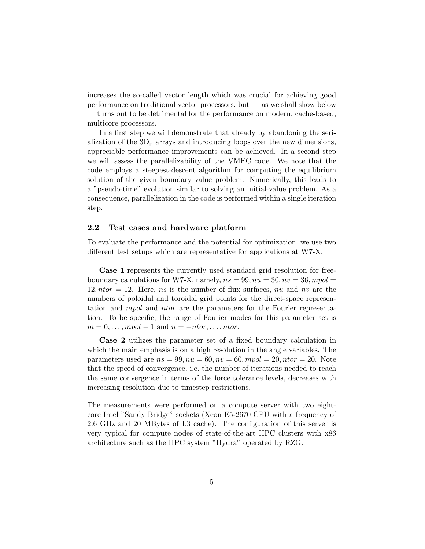increases the so-called vector length which was crucial for achieving good performance on traditional vector processors, but — as we shall show below — turns out to be detrimental for the performance on modern, cache-based, multicore processors.

In a first step we will demonstrate that already by abandoning the serialization of the  $3D<sub>p</sub>$  arrays and introducing loops over the new dimensions, appreciable performance improvements can be achieved. In a second step we will assess the parallelizability of the VMEC code. We note that the code employs a steepest-descent algorithm for computing the equilibrium solution of the given boundary value problem. Numerically, this leads to a "pseudo-time" evolution similar to solving an initial-value problem. As a consequence, parallelization in the code is performed within a single iteration step.

#### 2.2 Test cases and hardware platform

To evaluate the performance and the potential for optimization, we use two different test setups which are representative for applications at W7-X.

Case 1 represents the currently used standard grid resolution for freeboundary calculations for W7-X, namely,  $ns = 99, nu = 30, nv = 36, mpol =$  $12, ntor = 12$ . Here, ns is the number of flux surfaces, nu and nv are the numbers of poloidal and toroidal grid points for the direct-space representation and mpol and ntor are the parameters for the Fourier representation. To be specific, the range of Fourier modes for this parameter set is  $m = 0, \ldots, mpol - 1$  and  $n = -ntor, \ldots, ntor$ .

Case 2 utilizes the parameter set of a fixed boundary calculation in which the main emphasis is on a high resolution in the angle variables. The parameters used are  $ns = 99, nu = 60, nv = 60, mpol = 20, ntor = 20$ . Note that the speed of convergence, i.e. the number of iterations needed to reach the same convergence in terms of the force tolerance levels, decreases with increasing resolution due to timestep restrictions.

The measurements were performed on a compute server with two eightcore Intel "Sandy Bridge" sockets (Xeon E5-2670 CPU with a frequency of 2.6 GHz and 20 MBytes of L3 cache). The configuration of this server is very typical for compute nodes of state-of-the-art HPC clusters with x86 architecture such as the HPC system "Hydra" operated by RZG.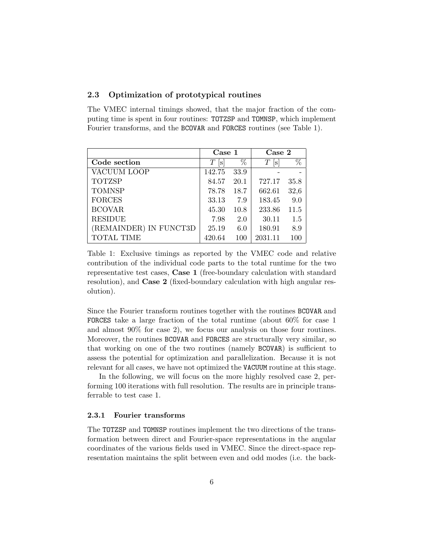### 2.3 Optimization of prototypical routines

The VMEC internal timings showed, that the major fraction of the computing time is spent in four routines: TOTZSP and TOMNSP, which implement Fourier transforms, and the BCOVAR and FORCES routines (see Table 1).

|                        | $\text{Case}~1$ |      | Case 2  |      |
|------------------------|-----------------|------|---------|------|
| Code section           | Т<br> S         | %    | Т<br> S | $\%$ |
| VACUUM LOOP            | 142.75          | 33.9 |         |      |
| <b>TOTZSP</b>          | 84.57           | 20.1 | 727.17  | 35.8 |
| <b>TOMNSP</b>          | 78.78           | 18.7 | 662.61  | 32,6 |
| <b>FORCES</b>          | 33.13           | 7.9  | 183.45  | 9.0  |
| <b>BCOVAR</b>          | 45.30           | 10.8 | 233.86  | 11.5 |
| <b>RESIDUE</b>         | 7.98            | 2.0  | 30.11   | 1.5  |
| (REMAINDER) IN FUNCT3D | 25.19           | 6.0  | 180.91  | 8.9  |
| TOTAL TIME             | 420.64          | 100  | 2031.11 | 100  |

Table 1: Exclusive timings as reported by the VMEC code and relative contribution of the individual code parts to the total runtime for the two representative test cases, Case 1 (free-boundary calculation with standard resolution), and Case 2 (fixed-boundary calculation with high angular resolution).

Since the Fourier transform routines together with the routines BCOVAR and FORCES take a large fraction of the total runtime (about 60% for case 1 and almost 90% for case 2), we focus our analysis on those four routines. Moreover, the routines BCOVAR and FORCES are structurally very similar, so that working on one of the two routines (namely BCOVAR) is sufficient to assess the potential for optimization and parallelization. Because it is not relevant for all cases, we have not optimized the VACUUM routine at this stage.

In the following, we will focus on the more highly resolved case 2, performing 100 iterations with full resolution. The results are in principle transferrable to test case 1.

#### 2.3.1 Fourier transforms

The TOTZSP and TOMNSP routines implement the two directions of the transformation between direct and Fourier-space representations in the angular coordinates of the various fields used in VMEC. Since the direct-space representation maintains the split between even and odd modes (i.e. the back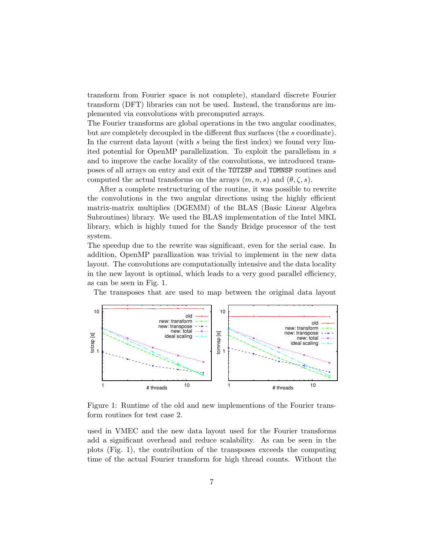transform from Fourier space is not complete), standard discrete Fourier transform (DFT) libraries can not be used. Instead, the transforms are implemented via convolutions with precomputed arrays.

The Fourier transforms are global operations in the two angular coodinates, but are completely decoupled in the different flux surfaces (the s coordinate). In the current data layout (with s being the first index) we found very limited potential for OpenMP parallelization. To exploit the parallelism in s and to improve the cache locality of the convolutions, we introduced transposes of all arrays on entry and exit of the TOTZSP and TOMNSP routines and computed the actual transforms on the arrays  $(m, n, s)$  and  $(\theta, \zeta, s)$ .

After a complete restructuring of the routine, it was possible to rewrite the convolutions in the two angular directions using the highly efficient matrix-matrix multiplies (DGEMM) of the BLAS (Basic Linear Algebra Subroutines) library. We used the BLAS implementation of the Intel MKL library, which is highly tuned for the Sandy Bridge processor of the test system.

The speedup due to the rewrite was significant, even for the serial case. In addition, OpenMP parallization was trivial to implement in the new data layout. The convolutions are computationally intensive and the data locality in the new layout is optimal, which leads to a very good parallel efficiency, as can be seen in Fig. 1.

The transposes that are used to map between the original data layout



Figure 1: Runtime of the old and new implementions of the Fourier transform routines for test case 2.

used in VMEC and the new data layout used for the Fourier transforms add a significant overhead and reduce scalability. As can be seen in the plots (Fig. 1), the contribution of the transposes exceeds the computing time of the actual Fourier transform for high thread counts. Without the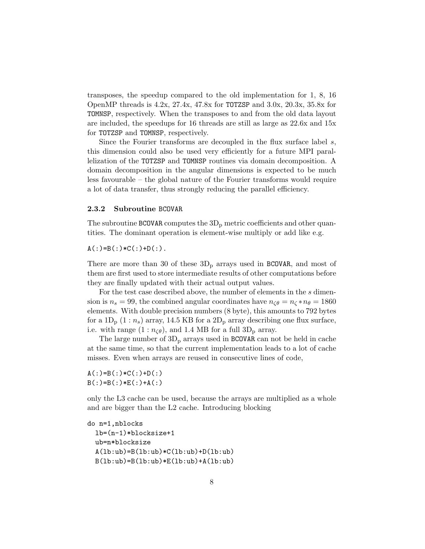transposes, the speedup compared to the old implementation for 1, 8, 16 OpenMP threads is  $4.2x$ ,  $27.4x$ ,  $47.8x$  for TOTZSP and  $3.0x$ ,  $20.3x$ ,  $35.8x$  for TOMNSP, respectively. When the transposes to and from the old data layout are included, the speedups for 16 threads are still as large as 22.6x and 15x for TOTZSP and TOMNSP, respectively.

Since the Fourier transforms are decoupled in the flux surface label  $s$ , this dimension could also be used very efficiently for a future MPI parallelization of the TOTZSP and TOMNSP routines via domain decomposition. A domain decomposition in the angular dimensions is expected to be much less favourable – the global nature of the Fourier transforms would require a lot of data transfer, thus strongly reducing the parallel efficiency.

#### 2.3.2 Subroutine BCOVAR

The subroutine BCOVAR computes the  $3D<sub>p</sub>$  metric coefficients and other quantities. The dominant operation is element-wise multiply or add like e.g.

 $A(:)=B(:)*C(:)+D(:).$ 

There are more than 30 of these  $3D<sub>p</sub>$  arrays used in BCOVAR, and most of them are first used to store intermediate results of other computations before they are finally updated with their actual output values.

For the test case described above, the number of elements in the s dimension is  $n_s = 99$ , the combined angular coordinates have  $n_{\zeta\theta} = n_{\zeta} * n_{\theta} = 1860$ elements. With double precision numbers (8 byte), this amounts to 792 bytes for a  $1D_p$   $(1:n_s)$  array, 14.5 KB for a  $2D_p$  array describing one flux surface, i.e. with range  $(1 : n_{\zeta\theta})$ , and 1.4 MB for a full  $3D_p$  array.

The large number of  $3D_p$  arrays used in BCOVAR can not be held in cache at the same time, so that the current implementation leads to a lot of cache misses. Even when arrays are reused in consecutive lines of code,

 $A(:)=B(:)*C(:)+D(:)$  $B(:)=B(:)*E(:)+A(:)$ 

only the L3 cache can be used, because the arrays are multiplied as a whole and are bigger than the L2 cache. Introducing blocking

do n=1,nblocks lb=(n-1)\*blocksize+1 ub=n\*blocksize  $A(1b:ub)=B(1b:ub)*C(1b:ub)+D(1b:ub)$  $B(1b:ub)=B(1b:ub)*E(1b:ub)+A(1b:ub)$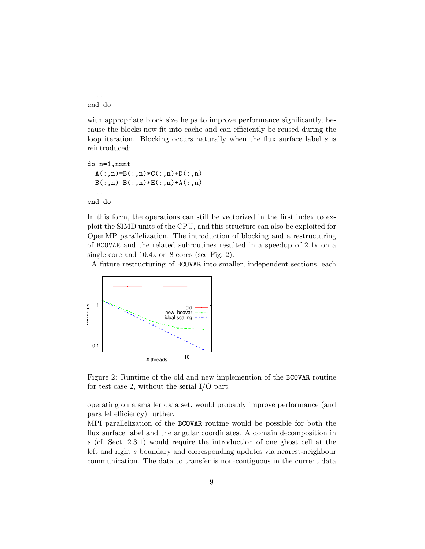.. end do

with appropriate block size helps to improve performance significantly, because the blocks now fit into cache and can efficiently be reused during the loop iteration. Blocking occurs naturally when the flux surface label s is reintroduced:

```
do n=1,nznt
  A(:,n)=B(:,n)*(C(:,n)+D(:,n))B(:,n)=B(:,n)*E(:,n)+A(:,n)..
```
end do

In this form, the operations can still be vectorized in the first index to exploit the SIMD units of the CPU, and this structure can also be exploited for OpenMP parallelization. The introduction of blocking and a restructuring of BCOVAR and the related subroutines resulted in a speedup of 2.1x on a single core and 10.4x on 8 cores (see Fig. 2).

A future restructuring of BCOVAR into smaller, independent sections, each



Figure 2: Runtime of the old and new implemention of the BCOVAR routine for test case 2, without the serial I/O part.

operating on a smaller data set, would probably improve performance (and parallel efficiency) further.

MPI parallelization of the BCOVAR routine would be possible for both the flux surface label and the angular coordinates. A domain decomposition in s (cf. Sect. 2.3.1) would require the introduction of one ghost cell at the left and right s boundary and corresponding updates via nearest-neighbour communication. The data to transfer is non-contiguous in the current data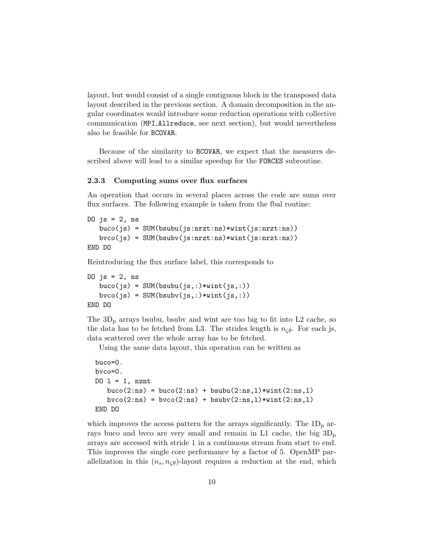layout, but would consist of a single contiguous block in the transposed data layout described in the previous section. A domain decomposition in the angular coordinates would introduce some reduction operations with collective communication (MPI Allreduce, see next section), but would nevertheless also be feasible for BCOVAR.

Because of the similarity to BCOVAR, we expect that the measures described above will lead to a similar speedup for the FORCES subroutine.

#### 2.3.3 Computing sums over flux surfaces

An operation that occurs in several places across the code are sums over flux surfaces. The following example is taken from the fbal routine:

```
DO js = 2, ns
   buco(js) = SUM(bsubu(js:nrzt:ns)*wint(js:nrzt:ns))
   bvco(js) = SUM(bsubv(js:nrzt:ns)*wint(js:nrzt:ns))
END DO
```
Reintroducing the flux surface label, this corresponds to

```
DO js = 2, ns
   buco(js) = SUM(bsubu(js,:)*with(js,:))bvco(js) = SUM(bsubv(js,:)*wint(js,:))END DO
```
The  $3D_p$  arrays bsubu, bsubv and wint are too big to fit into L2 cache, so the data has to be fetched from L3. The strides length is  $n_{\zeta\theta}$ . For each js, data scattered over the whole array has to be fetched.

Using the same data layout, this operation can be written as

```
buco=0.
bvco=0.
D0 1 = 1, nznt
  buco(2:ns) = buco(2:ns) + bsubu(2:ns,1)*wint(2:ns,1)bvco(2:ns) = bvco(2:ns) + bsubv(2:ns,1)*with(2:ns,1)END DO
```
which improves the access pattern for the arrays significantly. The  $1D_p$  arrays buco and bvco are very small and remain in L1 cache, the big  $3D_p$ arrays are accessed with stride 1 in a continuous stream from start to end. This improves the single core performance by a factor of 5. OpenMP parallelization in this  $(n_s, n_{\zeta\theta})$ -layout requires a reduction at the end, which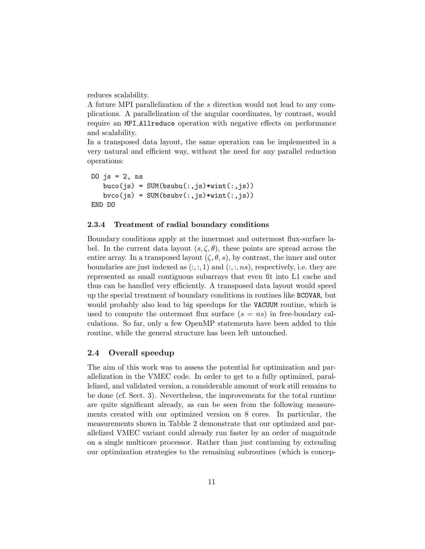reduces scalability.

A future MPI parallelization of the s direction would not lead to any complications. A parallelization of the angular coordinates, by contrast, would require an MPI Allreduce operation with negative effects on performance and scalability.

In a transposed data layout, the same operation can be implemented in a very natural and efficient way, without the need for any parallel reduction operations:

```
DO js = 2, nsbuco(js) = SUM(bsubu(:,js)*wint(:,js))byco(js) = SUM(bsubv(:,js)*wint(:,js))END DO
```
#### 2.3.4 Treatment of radial boundary conditions

Boundary conditions apply at the innermost and outermost flux-surface label. In the current data layout  $(s, \zeta, \theta)$ , these points are spread across the entire array. In a transposed layout  $(\zeta, \theta, s)$ , by contrast, the inner and outer boundaries are just indexed as  $(:,, 1)$  and  $(:,, 1)$ , respectively, i.e. they are represented as small contiguous subarrays that even fit into L1 cache and thus can be handled very efficiently. A transposed data layout would speed up the special treatment of boundary conditions in routines like BCOVAR, but would probably also lead to big speedups for the VACUUM routine, which is used to compute the outermost flux surface  $(s = ns)$  in free-bondary calculations. So far, only a few OpenMP statements have been added to this routine, while the general structure has been left untouched.

#### 2.4 Overall speedup

The aim of this work was to assess the potential for optimization and parallelization in the VMEC code. In order to get to a fully optimized, parallelized, and validated version, a considerable amount of work still remains to be done (cf. Sect. 3). Nevertheless, the improvements for the total runtime are quite significant already, as can be seen from the following measurements created with our optimized version on 8 cores. In particular, the measurements shown in Tabble 2 demonstrate that our optimized and parallelized VMEC variant could already run faster by an order of magnitude on a single multicore processor. Rather than just continuing by extending our optimization strategies to the remaining subroutines (which is concep-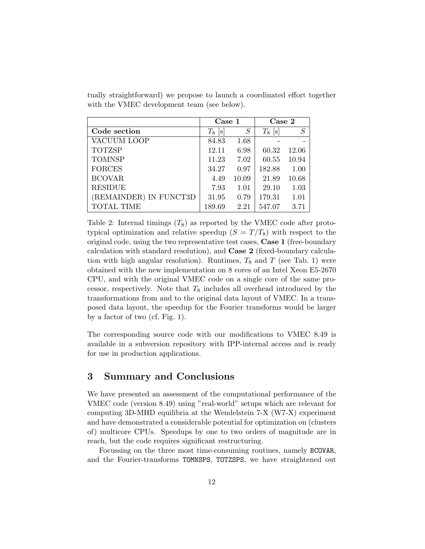|                        | Case 1               |       | Case 2      |          |
|------------------------|----------------------|-------|-------------|----------|
| Code section           | $T_8$<br>$ {\rm s} $ | S     | $T_8$<br> s | $\cal S$ |
| VACUUM LOOP            | 84.83                | 1.68  |             |          |
| <b>TOTZSP</b>          | 12.11                | 6.98  | 60.32       | 12.06    |
| <b>TOMNSP</b>          | 11.23                | 7.02  | 60.55       | 10.94    |
| <b>FORCES</b>          | 34.27                | 0.97  | 182.88      | 1.00     |
| <b>BCOVAR</b>          | 4.49                 | 10.09 | 21.89       | 10.68    |
| <b>RESIDUE</b>         | 7.93                 | 1.01  | 29.10       | 1.03     |
| (REMAINDER) IN FUNCT3D | 31.95                | 0.79  | 179.31      | 1.01     |
| <b>TOTAL TIME</b>      | 189.69               | 2.21  | 547.07      | 3.71     |

tually straightforward) we propose to launch a coordinated effort together with the VMEC development team (see below).

Table 2: Internal timings  $(T_8)$  as reported by the VMEC code after prototypical optimization and relative speedup  $(S = T/T_8)$  with respect to the original code, using the two representative test cases, Case 1 (free-boundary calculation with standard resolution), and Case 2 (fixed-boundary calculation with high angular resolution). Runtimes,  $T_8$  and T (see Tab. 1) were obtained with the new implementation on 8 cores of an Intel Xeon E5-2670 CPU, and with the original VMEC code on a single core of the same processor, respectively. Note that  $T_8$  includes all overhead introduced by the transformations from and to the original data layout of VMEC. In a transposed data layout, the speedup for the Fourier transforms would be larger by a factor of two (cf. Fig. 1).

The corresponding source code with our modifications to VMEC 8.49 is available in a subversion repository with IPP-internal access and is ready for use in production applications.

### 3 Summary and Conclusions

We have presented an assessment of the computational performance of the VMEC code (version 8.49) using "real-world" setups which are relevant for computing 3D-MHD equilibria at the Wendelstein 7-X (W7-X) experiment and have demonstrated a considerable potential for optimization on (clusters of) multicore CPUs. Speedups by one to two orders of magnitude are in reach, but the code requires significant restructuring.

Focussing on the three most time-consuming routines, namely BCOVAR, and the Fourier-transforms TOMNSPS, TOTZSPS, we have straightened out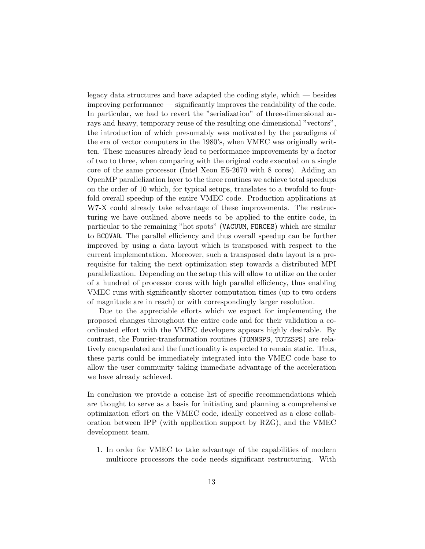legacy data structures and have adapted the coding style, which — besides improving performance — significantly improves the readability of the code. In particular, we had to revert the "serialization" of three-dimensional arrays and heavy, temporary reuse of the resulting one-dimensional "vectors", the introduction of which presumably was motivated by the paradigms of the era of vector computers in the 1980's, when VMEC was originally written. These measures already lead to performance improvements by a factor of two to three, when comparing with the original code executed on a single core of the same processor (Intel Xeon E5-2670 with 8 cores). Adding an OpenMP parallelization layer to the three routines we achieve total speedups on the order of 10 which, for typical setups, translates to a twofold to fourfold overall speedup of the entire VMEC code. Production applications at W7-X could already take advantage of these improvements. The restructuring we have outlined above needs to be applied to the entire code, in particular to the remaining "hot spots" (VACUUM, FORCES) which are similar to BCOVAR. The parallel efficiency and thus overall speedup can be further improved by using a data layout which is transposed with respect to the current implementation. Moreover, such a transposed data layout is a prerequisite for taking the next optimization step towards a distributed MPI parallelization. Depending on the setup this will allow to utilize on the order of a hundred of processor cores with high parallel efficiency, thus enabling VMEC runs with significantly shorter computation times (up to two orders of magnitude are in reach) or with correspondingly larger resolution.

Due to the appreciable efforts which we expect for implementing the proposed changes throughout the entire code and for their validation a coordinated effort with the VMEC developers appears highly desirable. By contrast, the Fourier-transformation routines (TOMNSPS, TOTZSPS) are relatively encapsulated and the functionality is expected to remain static. Thus, these parts could be immediately integrated into the VMEC code base to allow the user community taking immediate advantage of the acceleration we have already achieved.

In conclusion we provide a concise list of specific recommendations which are thought to serve as a basis for initiating and planning a comprehensive optimization effort on the VMEC code, ideally conceived as a close collaboration between IPP (with application support by RZG), and the VMEC development team.

1. In order for VMEC to take advantage of the capabilities of modern multicore processors the code needs significant restructuring. With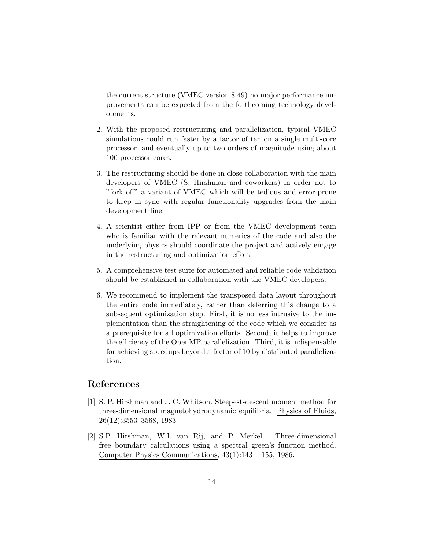the current structure (VMEC version 8.49) no major performance improvements can be expected from the forthcoming technology developments.

- 2. With the proposed restructuring and parallelization, typical VMEC simulations could run faster by a factor of ten on a single multi-core processor, and eventually up to two orders of magnitude using about 100 processor cores.
- 3. The restructuring should be done in close collaboration with the main developers of VMEC (S. Hirshman and coworkers) in order not to "fork off" a variant of VMEC which will be tedious and error-prone to keep in sync with regular functionality upgrades from the main development line.
- 4. A scientist either from IPP or from the VMEC development team who is familiar with the relevant numerics of the code and also the underlying physics should coordinate the project and actively engage in the restructuring and optimization effort.
- 5. A comprehensive test suite for automated and reliable code validation should be established in collaboration with the VMEC developers.
- 6. We recommend to implement the transposed data layout throughout the entire code immediately, rather than deferring this change to a subsequent optimization step. First, it is no less intrusive to the implementation than the straightening of the code which we consider as a prerequisite for all optimization efforts. Second, it helps to improve the efficiency of the OpenMP parallelization. Third, it is indispensable for achieving speedups beyond a factor of 10 by distributed parallelization.

### References

- [1] S. P. Hirshman and J. C. Whitson. Steepest-descent moment method for three-dimensional magnetohydrodynamic equilibria. Physics of Fluids, 26(12):3553–3568, 1983.
- [2] S.P. Hirshman, W.I. van Rij, and P. Merkel. Three-dimensional free boundary calculations using a spectral green's function method. Computer Physics Communications, 43(1):143 – 155, 1986.